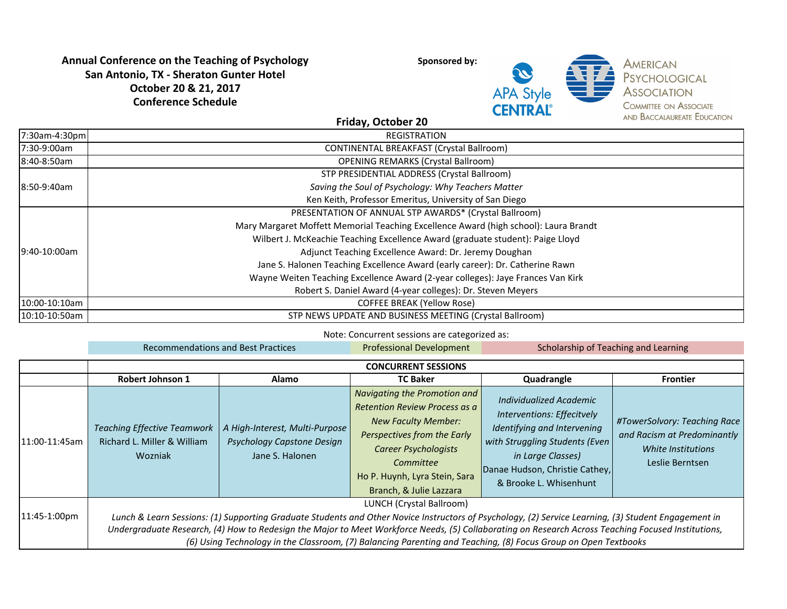# **Annual Conference on the Teaching of Psychology San Antonio, TX - Sheraton Gunter Hotel October 20 & 21, 2017 Conference Schedule**

**Sponsored by:** 



**AMERICAN** PSYCHOLOGICAL **ASSOCIATION COMMITTEE ON ASSOCIATE** AND BACCALAUREATE EDUCATION

### **Friday, October 20**

| 7:30am-4:30pm | <b>REGISTRATION</b>                                                                  |  |  |  |  |
|---------------|--------------------------------------------------------------------------------------|--|--|--|--|
| 7:30-9:00am   | <b>CONTINENTAL BREAKFAST (Crystal Ballroom)</b>                                      |  |  |  |  |
| 18:40-8:50am  | <b>OPENING REMARKS (Crystal Ballroom)</b>                                            |  |  |  |  |
|               | STP PRESIDENTIAL ADDRESS (Crystal Ballroom)                                          |  |  |  |  |
| 18:50-9:40am  | Saving the Soul of Psychology: Why Teachers Matter                                   |  |  |  |  |
|               | Ken Keith, Professor Emeritus, University of San Diego                               |  |  |  |  |
|               | PRESENTATION OF ANNUAL STP AWARDS* (Crystal Ballroom)                                |  |  |  |  |
|               | Mary Margaret Moffett Memorial Teaching Excellence Award (high school): Laura Brandt |  |  |  |  |
|               | Wilbert J. McKeachie Teaching Excellence Award (graduate student): Paige Lloyd       |  |  |  |  |
| l9:40-10:00am | Adjunct Teaching Excellence Award: Dr. Jeremy Doughan                                |  |  |  |  |
|               | Jane S. Halonen Teaching Excellence Award (early career): Dr. Catherine Rawn         |  |  |  |  |
|               | Wayne Weiten Teaching Excellence Award (2-year colleges): Jaye Frances Van Kirk      |  |  |  |  |
|               | Robert S. Daniel Award (4-year colleges): Dr. Steven Meyers                          |  |  |  |  |
| 10:00-10:10am | <b>COFFEE BREAK (Yellow Rose)</b>                                                    |  |  |  |  |
| 10:10-10:50am | STP NEWS UPDATE AND BUSINESS MEETING (Crystal Ballroom)                              |  |  |  |  |

Note: Concurrent sessions are categorized as:

|                | <b>Recommendations and Best Practices</b>                                                                                                                                                                                                                                                                                                                                                                                                                |                                                                                 | <b>Professional Development</b>                                                                                                                                                                                                    | Scholarship of Teaching and Learning                                                                                                                                                                    |                                                                                                      |  |
|----------------|----------------------------------------------------------------------------------------------------------------------------------------------------------------------------------------------------------------------------------------------------------------------------------------------------------------------------------------------------------------------------------------------------------------------------------------------------------|---------------------------------------------------------------------------------|------------------------------------------------------------------------------------------------------------------------------------------------------------------------------------------------------------------------------------|---------------------------------------------------------------------------------------------------------------------------------------------------------------------------------------------------------|------------------------------------------------------------------------------------------------------|--|
|                | <b>CONCURRENT SESSIONS</b>                                                                                                                                                                                                                                                                                                                                                                                                                               |                                                                                 |                                                                                                                                                                                                                                    |                                                                                                                                                                                                         |                                                                                                      |  |
|                | <b>Robert Johnson 1</b>                                                                                                                                                                                                                                                                                                                                                                                                                                  | Alamo                                                                           | <b>TC Baker</b>                                                                                                                                                                                                                    | Quadrangle                                                                                                                                                                                              | <b>Frontier</b>                                                                                      |  |
| 11:00-11:45am  | <b>Teaching Effective Teamwork</b><br>Richard L. Miller & William<br>Wozniak                                                                                                                                                                                                                                                                                                                                                                             | A High-Interest, Multi-Purpose<br>Psychology Capstone Design<br>Jane S. Halonen | Navigating the Promotion and<br>Retention Review Process as a<br><b>New Faculty Member:</b><br>Perspectives from the Early<br><b>Career Psychologists</b><br>Committee<br>Ho P. Huynh, Lyra Stein, Sara<br>Branch, & Julie Lazzara | Individualized Academic<br>Interventions: Effecitvely<br>Identifying and Intervening<br>with Struggling Students (Even<br>in Large Classes)<br>Danae Hudson, Christie Cathey,<br>& Brooke L. Whisenhunt | #TowerSolvory: Teaching Race<br>and Racism at Predominantly<br>White Institutions<br>Leslie Berntsen |  |
| $11:45-1:00pm$ | LUNCH (Crystal Ballroom)<br>Lunch & Learn Sessions: (1) Supporting Graduate Students and Other Novice Instructors of Psychology, (2) Service Learning, (3) Student Engagement in<br>Undergraduate Research, (4) How to Redesign the Major to Meet Workforce Needs, (5) Collaborating on Research Across Teaching Focused Institutions,<br>(6) Using Technology in the Classroom, (7) Balancing Parenting and Teaching, (8) Focus Group on Open Textbooks |                                                                                 |                                                                                                                                                                                                                                    |                                                                                                                                                                                                         |                                                                                                      |  |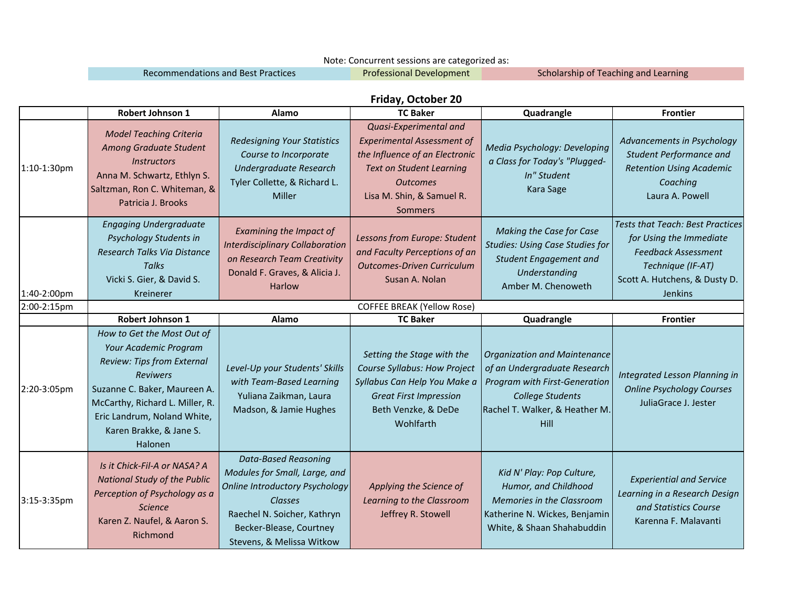#### Note: Concurrent sessions are categorized as:

Recommendations and Best Practices **Scholarship of Teaching and Learning** Recommendations and Best Practices

Professional Development

## **Friday, October 20**

|             | Robert Johnson 1                                                                                                                                                                                                                             | Alamo                                                                                                                                                                                                   | <b>TC Baker</b>                                                                                                                                                                                    | Quadrangle                                                                                                                                                                | <b>Frontier</b>                                                                                                                                                          |
|-------------|----------------------------------------------------------------------------------------------------------------------------------------------------------------------------------------------------------------------------------------------|---------------------------------------------------------------------------------------------------------------------------------------------------------------------------------------------------------|----------------------------------------------------------------------------------------------------------------------------------------------------------------------------------------------------|---------------------------------------------------------------------------------------------------------------------------------------------------------------------------|--------------------------------------------------------------------------------------------------------------------------------------------------------------------------|
| 1:10-1:30pm | <b>Model Teaching Criteria</b><br>Among Graduate Student<br><b>Instructors</b><br>Anna M. Schwartz, Ethlyn S.<br>Saltzman, Ron C. Whiteman, &<br>Patricia J. Brooks                                                                          | <b>Redesigning Your Statistics</b><br>Course to Incorporate<br>Undergraduate Research<br>Tyler Collette, & Richard L.<br>Miller                                                                         | Quasi-Experimental and<br><b>Experimental Assessment of</b><br>the Influence of an Electronic<br><b>Text on Student Learning</b><br><b>Outcomes</b><br>Lisa M. Shin, & Samuel R.<br><b>Sommers</b> | Media Psychology: Developing<br>a Class for Today's "Plugged-<br>In" Student<br>Kara Sage                                                                                 | Advancements in Psychology<br><b>Student Performance and</b><br><b>Retention Using Academic</b><br>Coaching<br>Laura A. Powell                                           |
| 1:40-2:00pm | <b>Engaging Undergraduate</b><br>Psychology Students in<br>Research Talks Via Distance<br><b>Talks</b><br>Vicki S. Gier, & David S.<br>Kreinerer                                                                                             | Examining the Impact of<br><b>Interdisciplinary Collaboration</b><br>on Research Team Creativity<br>Donald F. Graves, & Alicia J.<br><b>Harlow</b>                                                      | Lessons from Europe: Student<br>and Faculty Perceptions of an<br><b>Outcomes-Driven Curriculum</b><br>Susan A. Nolan                                                                               | Making the Case for Case<br><b>Studies: Using Case Studies for</b><br>Student Engagement and<br>Understanding<br>Amber M. Chenoweth                                       | <b>Tests that Teach: Best Practices</b><br>for Using the Immediate<br><b>Feedback Assessment</b><br>Technique (IF-AT)<br>Scott A. Hutchens, & Dusty D.<br><b>Jenkins</b> |
| 2:00-2:15pm | <b>COFFEE BREAK (Yellow Rose)</b>                                                                                                                                                                                                            |                                                                                                                                                                                                         |                                                                                                                                                                                                    |                                                                                                                                                                           |                                                                                                                                                                          |
|             | <b>Robert Johnson 1</b>                                                                                                                                                                                                                      | Alamo                                                                                                                                                                                                   | <b>TC Baker</b>                                                                                                                                                                                    | Quadrangle                                                                                                                                                                | <b>Frontier</b>                                                                                                                                                          |
| 2:20-3:05pm | How to Get the Most Out of<br>Your Academic Program<br>Review: Tips from External<br><b>Reviwers</b><br>Suzanne C. Baker, Maureen A.<br>McCarthy, Richard L. Miller, R.<br>Eric Landrum, Noland White,<br>Karen Brakke, & Jane S.<br>Halonen | Level-Up your Students' Skills<br>with Team-Based Learning<br>Yuliana Zaikman, Laura<br>Madson, & Jamie Hughes                                                                                          | Setting the Stage with the<br>Course Syllabus: How Project<br>Syllabus Can Help You Make a<br><b>Great First Impression</b><br>Beth Venzke, & DeDe<br>Wohlfarth                                    | <b>Organization and Maintenance</b><br>of an Undergraduate Research<br>Program with First-Generation<br><b>College Students</b><br>Rachel T. Walker, & Heather M.<br>Hill | Integrated Lesson Planning in<br><b>Online Psychology Courses</b><br>JuliaGrace J. Jester                                                                                |
| 3:15-3:35pm | Is it Chick-Fil-A or NASA? A<br><b>National Study of the Public</b><br>Perception of Psychology as a<br><b>Science</b><br>Karen Z. Naufel, & Aaron S.<br>Richmond                                                                            | <b>Data-Based Reasoning</b><br>Modules for Small, Large, and<br><b>Online Introductory Psychology</b><br>Classes<br>Raechel N. Soicher, Kathryn<br>Becker-Blease, Courtney<br>Stevens, & Melissa Witkow | Applying the Science of<br>Learning to the Classroom<br>Jeffrey R. Stowell                                                                                                                         | Kid N' Play: Pop Culture,<br>Humor, and Childhood<br>Memories in the Classroom<br>Katherine N. Wickes, Benjamin<br>White, & Shaan Shahabuddin                             | <b>Experiential and Service</b><br>Learning in a Research Design<br>and Statistics Course<br>Karenna F. Malavanti                                                        |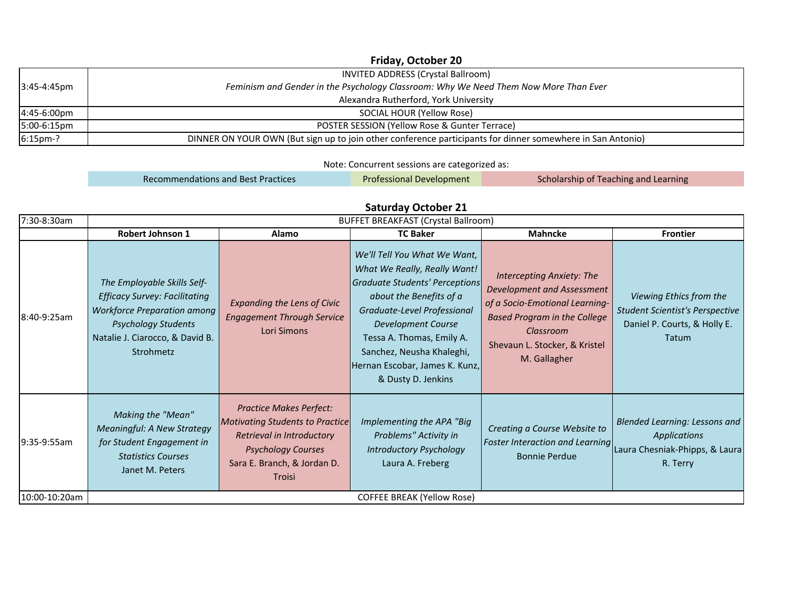|               | Friday, October 20                                                                                         |
|---------------|------------------------------------------------------------------------------------------------------------|
|               | INVITED ADDRESS (Crystal Ballroom)                                                                         |
| $3:45-4:45pm$ | Feminism and Gender in the Psychology Classroom: Why We Need Them Now More Than Ever                       |
|               | Alexandra Rutherford, York University                                                                      |
| 4:45-6:00pm   | SOCIAL HOUR (Yellow Rose)                                                                                  |
| 5:00-6:15pm   | POSTER SESSION (Yellow Rose & Gunter Terrace)                                                              |
| 6:15pm-?      | DINNER ON YOUR OWN (But sign up to join other conference participants for dinner somewhere in San Antonio) |

Note: Concurrent sessions are categorized as:

Professional Development Recommendations and Best Practices **Scholarship of Teaching and Learning** Recommendations and Best Practices

## **Saturday October 21**

| 7:30-8:30am   | <b>BUFFET BREAKFAST (Crystal Ballroom)</b>                                                                                                                                              |                                                                                                                                                                      |                                                                                                                                                                                                                                                                                                         |                                                                                                                                                                                                       |                                                                                                                                    |
|---------------|-----------------------------------------------------------------------------------------------------------------------------------------------------------------------------------------|----------------------------------------------------------------------------------------------------------------------------------------------------------------------|---------------------------------------------------------------------------------------------------------------------------------------------------------------------------------------------------------------------------------------------------------------------------------------------------------|-------------------------------------------------------------------------------------------------------------------------------------------------------------------------------------------------------|------------------------------------------------------------------------------------------------------------------------------------|
|               | <b>Robert Johnson 1</b>                                                                                                                                                                 | Alamo                                                                                                                                                                | <b>TC Baker</b>                                                                                                                                                                                                                                                                                         | <b>Mahncke</b>                                                                                                                                                                                        | <b>Frontier</b>                                                                                                                    |
| 8:40-9:25am   | The Employable Skills Self-<br><b>Efficacy Survey: Facilitating</b><br><b>Workforce Preparation among</b><br><b>Psychology Students</b><br>Natalie J. Ciarocco, & David B.<br>Strohmetz | <b>Expanding the Lens of Civic</b><br><b>Engagement Through Service</b><br>Lori Simons                                                                               | We'll Tell You What We Want,<br>What We Really, Really Want!<br>Graduate Students' Perceptions<br>about the Benefits of a<br>Graduate-Level Professional<br><b>Development Course</b><br>Tessa A. Thomas, Emily A.<br>Sanchez, Neusha Khaleghi,<br>Hernan Escobar, James K. Kunz,<br>& Dusty D. Jenkins | <b>Intercepting Anxiety: The</b><br>Development and Assessment<br>of a Socio-Emotional Learning-<br><b>Based Program in the College</b><br>Classroom<br>Shevaun L. Stocker, & Kristel<br>M. Gallagher | Viewing Ethics from the<br><b>Student Scientist's Perspective</b><br>Daniel P. Courts, & Holly E.<br>Tatum                         |
| 9:35-9:55am   | Making the "Mean"<br><b>Meaningful: A New Strategy</b><br>for Student Engagement in<br><b>Statistics Courses</b><br>Janet M. Peters                                                     | <b>Practice Makes Perfect:</b><br>Motivating Students to Practice<br>Retrieval in Introductory<br><b>Psychology Courses</b><br>Sara E. Branch, & Jordan D.<br>Troisi | Implementing the APA "Big<br>Problems" Activity in<br><b>Introductory Psychology</b><br>Laura A. Freberg                                                                                                                                                                                                | Creating a Course Website to<br><b>Bonnie Perdue</b>                                                                                                                                                  | Blended Learning: Lessons and<br><b>Applications</b><br>Foster Interaction and Learning Laura Chesniak-Phipps, & Laura<br>R. Terry |
| 10:00-10:20am | <b>COFFEE BREAK (Yellow Rose)</b>                                                                                                                                                       |                                                                                                                                                                      |                                                                                                                                                                                                                                                                                                         |                                                                                                                                                                                                       |                                                                                                                                    |